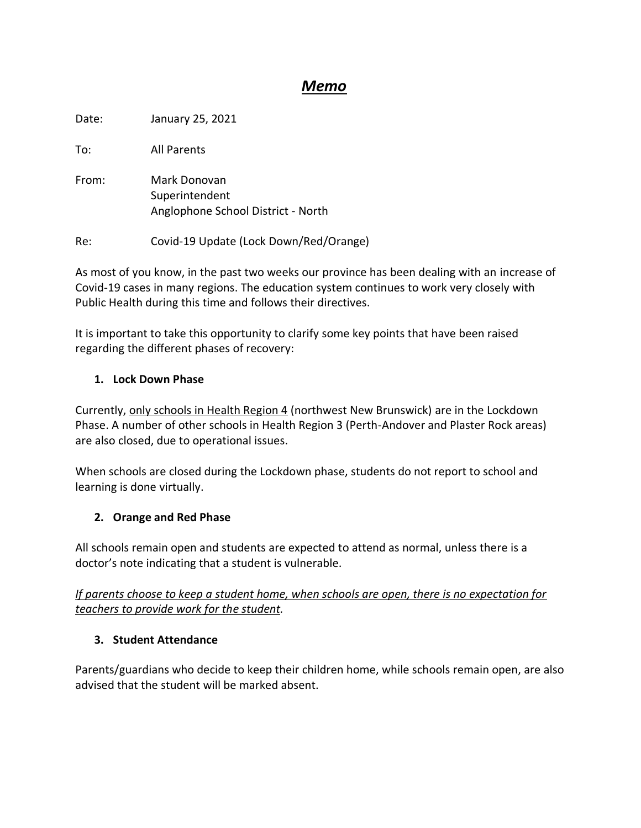# *Memo*

Date: January 25, 2021

To: All Parents

From: Mark Donovan Superintendent Anglophone School District - North

Re: Covid-19 Update (Lock Down/Red/Orange)

As most of you know, in the past two weeks our province has been dealing with an increase of Covid-19 cases in many regions. The education system continues to work very closely with Public Health during this time and follows their directives.

It is important to take this opportunity to clarify some key points that have been raised regarding the different phases of recovery:

## **1. Lock Down Phase**

Currently, only schools in Health Region 4 (northwest New Brunswick) are in the Lockdown Phase. A number of other schools in Health Region 3 (Perth-Andover and Plaster Rock areas) are also closed, due to operational issues.

When schools are closed during the Lockdown phase, students do not report to school and learning is done virtually.

## **2. Orange and Red Phase**

All schools remain open and students are expected to attend as normal, unless there is a doctor's note indicating that a student is vulnerable.

*If parents choose to keep a student home, when schools are open, there is no expectation for teachers to provide work for the student.* 

#### **3. Student Attendance**

Parents/guardians who decide to keep their children home, while schools remain open, are also advised that the student will be marked absent.